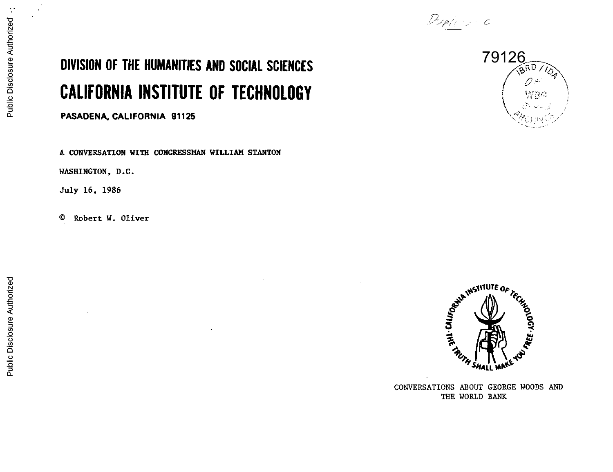

## DIVISION OF THE HUMANITIES AND SOCIAL SCIENCES CALIFORNIA INSTITUTE OF TECHNOLOGY

PASADENA, CALIFORNIA 91125

A CONVERSATION WITH CONGRESSMAN WILLIAM STANTON

WASHINGTON, D.C.

July 16, 1986

© Robert W. Oliver





CONVERSATIONS ABOUT GEORGE WOODS AND THE WORLD BANK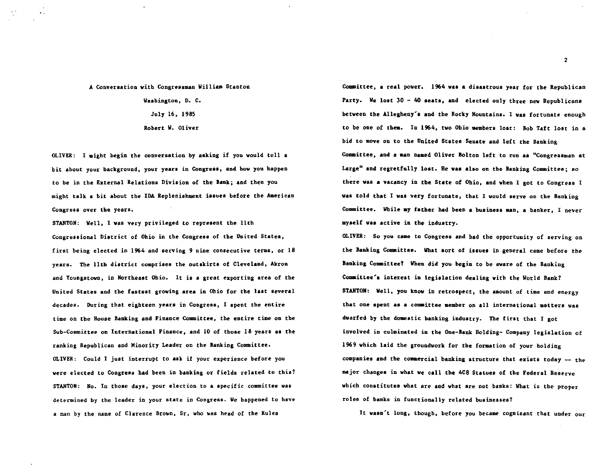## A Conversation with Congressman William Stanton

Washington. D. C. July 16. 1985 Robert W. Oliver

OLIVER: I might begin the conversation by asking if you would tell a bit about your background, your years in Congress, and how you happen to be in the External Relations Division of the Bank; and then you might talk a bit about the IDA Replenishment issues before the American Congress over the years.

STANTON: Well, I vas very privileged to represent the 11th Congressional District of Ohio in the Congress of the United States, first being elected in 1964 and serving 9 nine consecutive terms, or 18 years. The 11th district comprises the outskirts of Cleveland, Akron and Youngstown, in Northeast Ohio. It is a great ezporting area of the United States and the fastest growing area in Ohio for the last several decades. During that eighteen years in Congress, I spent the entire time on the House Banking and Finance Committee, the entire time on the Sub-Committee on International Finance, and 10 of those 18 years as the ranking Republican and Minority Leader on the Banking Committee. OLIVER: Could I just interrupt to ask if your experience before you were elected to Congress had been in banking or fields related to this? STANTON: No. In those days, your election to a specific committee was determined by the leader in your state in Congress. We happened to have a man by the name of Clarence Brown, Sr, who was head of the Rules

Committee, a real power. 1964 was a disastrous year for the Republican Party. We lost  $30 - 40$  seats, and elected only three new Republicans between the Allegheny's and the Rocky Mountains. 1 was fortunate enough to be one of them. In 1964, two Ohio members lost: Bob Taft lost in a bid to move on to the United States Senate and left the Banking Committee, and a man named Oliver Bolton left to run as "Congressman at Large" and regretfully lost. Be waa also on the Banking Committee; eo there was a vacancy in the State of Ohio, and when I got to Congress I was told that I waa very fortunate, that I would serve on the Banking Committee. While my father had been a business man, a banker, I never myself vaa active in the industry.

OLIVER: So you came to Congress and bad the opportunity of serving on the Banking Committee. What sort of issues in general came before the Banking Comaittee? When did you begin to be aware of the Banking Committee'a interest in legialation dealing with the World Bank? STANTON: Well, you know in retrospect, the amount of time and energy that one spent aa a comaittee member on all international matters was dwarfed by the domestic banking industry. The first that I got involved in culminated in the One-Bank Holding- Company legislation of 1969 which laid the groundwork for the formation of your holding companies and the commercial banking structure that exists today -- the major changes in what we call the 4C8 Statues of the Federal Reserve which constitutes what are and what are not banks: What is the proper roles of banks in functionally related businesses?

It wasn't long, though, before you became cognizant that under our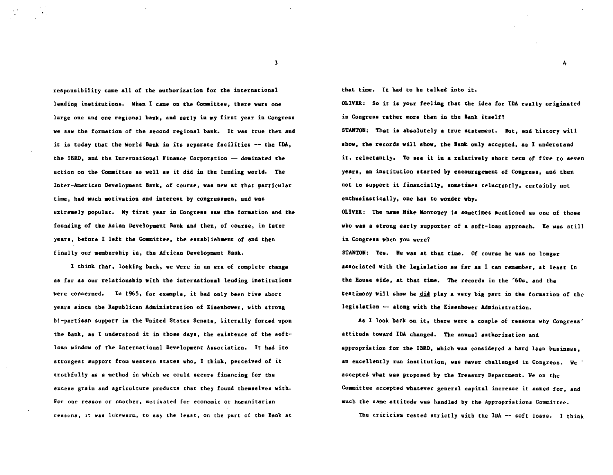responsibility came all of the authorization for the international lending institutions. When I came on the Committee, there were one large one and one regional bank, and early in my first year in Congress we saw the formation of the second regional bank. It was true then and it is today that the World Bank in ita separate facilities -- the IDA, the IBRD, and the International Finance Corporation -- doainated the action on the Committee as well as it did in the lending world. The Inter-American Development Bank, of course, was new at that particular time, had much motivation and interest by congressmen, and was extremely popular. My first year in Congress saw the formation and the founding of the Asian Development Bank and then, of course, in later years, before I left the Committee, the establishment of and then finally our membership in, the African Development Bank.

I think that, looking back, we were in an era of complete change as far as our relationship with the international lending institutions were concerned. In 1965, for example, it had only been five short years since the Republican Administration of Eisenhower, with strong bi-partisan support in the United States Senate, literally forced upon the Bank, as I understood it in those days, the existence of the softloan window of the International Development Association. It bad its strongest support from western states who, I think, perceived of it truthfully as a method in which we could secure financing for the excess grain and agriculture products that they found themselves with. For one reason or another, motivated for economic or humanitarian reasons, it was lukewarm, to say the least, on the part of the Bank at that time. It bad to be talked into it.

OLIVER: So it ia your feeling that the idea for IDA really originated in Congress rather more than in the Bank itself? STANTON: That is absolutely a true statement. But, and history will abow, the recorda will ahov, the Bank only accepted, aa 1 understand it, reluctantly. To see it in a relatively abort term of five to seven years, an institution started by encouragement of Congress, and then not to support it financially, sometimes reluctantly. certainly not enthusiastically, one has to wonder why.

4

OLIVER: The name Mike Monroney ia sometimes mentioned as one of those who was a strong early supporter of a soft-loan approach. He was still in Congress when you were?

STANTON: Yea. Be was at that time. Of course be was no longer associated with the legislation as far as I can remember, at least in the Bouse aide, at that time. The recorda in the '60s, and the testimony will show he did play a very big part in the formation of the legislation -- along with the Eisenhower Administration.

As 1 look back on it, there were a couple of reasons why Congress' attitude toward IDA changed. The annual authorization and appropriation for the IBRD, which was considered a hard loan business, an excellently run institution, was never challenged in Congress. We accepted what was proposed by the Treasury Department. We on the Committee accepted whatever general capital increase it asked for, and much the same attitude was handled by the Appropriations Committee.

The criticism rested strictly with the IDA -- soft loans. I think

3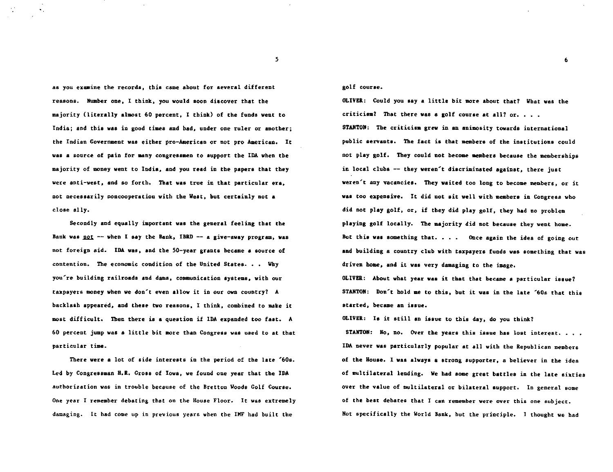as you examine the recorda, this came about for several different reasons. Number one, I think, you would soon discover that the majority (literally almost 60 percent, I think) of the funds went to India; and this was in good times and bad, under one ruler or another; the Indian Government was either pro-Aaerican or not pro American. It was a source of pain for many congressmen to support the IDA when the majority of money went to India, and you read in the papers that they were anti-west, and so forth. That was true in that particular era, not necessarily noncooperation with the Weat, but certainly not a close ally.

Secondly and equally important was the general feeling that the Bank was  $pot$  -- when I say the Bank, IBRD -- a give-away program, was not foreign aid. IDA was, and the 50-year grants became a source of contention. The economic condition of the United States. • • Why you're building railroads and dams, communication systems, with our taxpayers money when we don~t even allow it in our own country? A backlash appeared, and these two reasons, 1 think. combined to make it most difficult. Then there is a question if IDA ezpanded too fast. A 60 percent jump was a little bit more than Congress was used to at that particular time.

There were a lot of aide interests in the period of the late '60s. Led by Congressman H.R. Gross of Iowa, we found one year that the IDA authorization was in trouble because of the Bretton Woods Golf Course. One year I remember debating that on the House Floor. It waa eztremely damaging. It had come up in previous years when the IHF had built the

golf courae.

OLIVER: Could you aay a little bit more about that? What was the criticism? That there was a golf course at all? or.  $\ldots$ STANTON: The criticiam grew in an animosity towards international public servants. The fact is that members of the institutions could not play golf. They could not become aembera because the memberships in local clubs -- they weren't discriminated against, there just weren't any vacancies. They waited too long to become members, or it was too expensive. It did not sit well with members in Congress who did not play golf, or, if they did play golf, they bad no problem playing golf locally. The majority did not because they went home. But this was something that.  $\ldots$  Once again the idea of going out and building a country club with tazpayers funds was something that was driven home, and it was very damaging to the image.

6

OLIVER: About what year vaa it that that became a particular issue? STANTON: Don't bold me to this, but it was in the late '60s that this started, became an issue.

OLIVER: Ia it atilt an issue to this day, do you think?

STANTON: No, no. Over the years this issue has lost interest. . . . IDA never was particularly popular at all with the Republican members of the House. I was always a strong supporter, a believer in the idea of multilateral lending. We had some great battles in the late sixties over the value of multilateral or bilateral support. In general some of the best debates that I can remember were over this one subject. Not specifically the World Bank, but the principle. I thought we had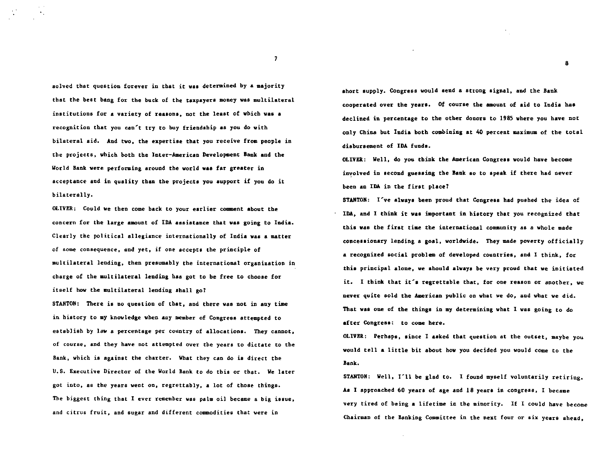solved that question forever in that it was determined by a majority that the beat bang for the buck of the taxpayers money was multilateral institutions for a variety of reatona, not the leaat of which was a recognition that you can't try to buy friendship as you do with bilateral aid. And two. the expertise that you receive froa people in the projects, which both the Inter-American Developeent Bank and the World Bank were performing around the world was far greater in acceptance and in quality than the projects you aupport if you do it bilaterally.

OLIVER: Could we then come back to your earlier comment about the concern for the large amount of IDA assistance that was going to India. Clearly the political allegiance internationally of India was a matter of some consequence, and yet, if one accepts the principle of multilateral lending, then presumably the international organization in charge of the multilateral lending baa got to be free to choose for itself how the multilateral lending shall go?

STANTON: There is no question of that, and there was not in any time in history to my knowledge when any member of Congress attempted to establish by law a percentage per country of allocations. They cannot, of course, and they have not attempted over the years to dictate to the Bank, which is against the charter. What they can do is direct the U.S. Executive Director of the World Bank to do this or that. We later got into, as the years weat on, regrettably, a lot of those things. The biggest thing that I ever remember was palm oil became a big issue, and citrus fruit, and sugar and different commodities that were in

abort supply. Congress would send a strong signal. and the Bank cooperated over the years. Of course the amount of aid to India has declined in percentage to the other donors to 1985 where you have not only China but India both combining at 40 percent maximum of the total disbursement of IDA funda.

8

OLIVER: Well, do you think the American Congress would have become involved in second guessing the Bank so to speak if there had never been an IDA in the first place?

STANTON: I've always been proud that Congress had pushed the idea of IDA, and I think it was important in history that you recognized that this vas the first time the international comaunity as a whole made concessionary lending a goal, worldwide. They made poverty officially a recognized social problem of developed countries, and 1 think, for this principal alone, we should always be very proud that we initiated it. I think that it's regrettable that, for one reason or another, we never quite sold the American public on what we do, and what we did. That was one of the things in my determining what I was going to do after Congress: to come here.

OLIVER: Perhaps, since I aaked that question at the outset, maybe you would tell a little bit about bow you decided you would come to the Bank.

STANTON: Well, I'll be glad to. I found myself voluntarily retiring. As I approached 60 years of age and 18 years in congress, I became very tired of being a lifetime in the minority. If I could have become Chairman of the Banking Committee in the next four or six years ahead,

7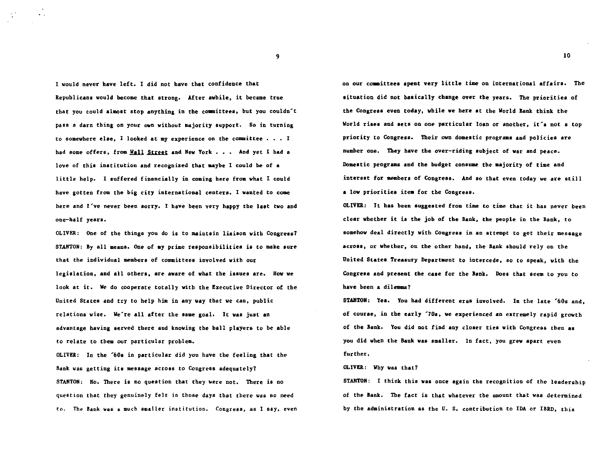I would never have left. I did not have that confidence that Republicans would become that strong. After awhile. it became true that you could almost stop anything in the committees, but you couldn't pass a darn thing on your own without majority support. So in turning to somewhere else. I looked at my experience on the committee  $\ldots$  I had some offers, from Wall Street and New York  $\cdot$   $\cdot$   $\cdot$  And yet I had a love of this institution and recognized that aaybe 1 could be of a little help. I suffered financially in coming here from what I could have gotten from the big city international centers. I wanted to come here and I've never been sorry. I have been yery happy the last two and one-half years.

OLIVER: One of the things you do is to maintain liaison with Congrees7 STANTON: By all means. One of my prime responsibilities is to make sure that the individual membera of committees involved with our legislation, and all others, are aware of what the issues are. How we look at it. We do oooperate totally with the Executive Director of the United States and try to help him in any way that we can. public relations wise. We're all after the same goal. It was just an advantage having served there and knowing the ball players to be able to relate to them our particular problem.

OLIVER: In the '60s in particular did you have the feeling that the Bank was getting its message across to Congress adequately? STANTON: No. There is no question that they were not. There is no question that they genuinely felt in those days that there was no need to. The Bank was a much smaller institution. Congress, as I say, even on our coamitteea •pent very little time on international affairs. The situation did not basically change over the years. The priorities of the Congress even today, while we here at the World Bank think the World rises and sets on one particular loan or another, it's not a top priority to Congress. Their own domestic programs and policies are number one. They have the over-riding subject of war and peace. Domestic programs and the budget consume the majority of time and interest for members of Congress. And ao that even today we are still a low priorities item for the Congress.

OLIVER: It baa been suggested from time to time that it has never been clear whether it is the job of the Bank, the people in the Bank, to somehow deal directly with Congress in an attempt to get their message across. or whether. on the other hand. the Bank should rely on the United States Treasury Departaent to intercede, so to apeak, with the Congress and present the case for the Bank. Does that seem to you to have been a dilemma?

STANTON: Yes. You had different eras involved. In the late '60s and, of course, in the early '70s, we experienced an extremely rapid growth of the Bank. You did not find any cloaer ties with Congress then as you did when the Bank was smaller. In fact, you grew apart even further.

## OLIVER: Why was that?

STANTON: I think this was once again the recognition of the leadership of the Bank. The fact is that whatever *the* amount that was determined by the administration as the U. s. contribution to IDA or IBRD, this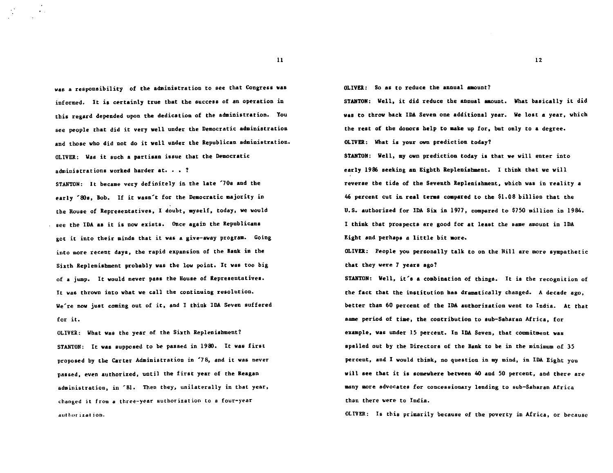was a responsibility of the administration to see that Congress was informed. It is certainly true that the success of an operation in this regard depended upon the dedication of the administration. You see people that did it very well under the Democratic administration and those who did not do it well under the Republican administration. OLIVER: Was it such a partisan issue that the Democratic administrations worked harder at. . . ?

STANTON: It became very definitely in the late '70s and the early '80s, Bob. If it wasn't for the Democratic majority in the House of Representatives, I doubt, myself, today, we would see the IDA aa it is now exists. Once again the Republicans got it into their minds that it was a give-away program. Going into more recent days, the rapid expansion of the Bank in the Sixth Replenishment probably was the low point. It vas too big of a jump. It would never pass the House of Representatives. It was thrown into what we call the continuing resolution. We're nov just coming out of it, and I think IDA Seven suffered for it.

OLIVER: What vas the year of the Sixth Replenishment? STANTON: It vas supposed to be passed in 1980. It was first proposed by the Carter Administration in '76, and it was never passed, even authorized, until the first year of the Reagan administration, in '61. Then they, unilaterally in that year, changed it from a three-year authorization to a four-year author ization.

OLIVER: So as to reduce the annual amount?

STANTON: Well, it did reduce the annual amount. What basically it did was to throw back IDA Seven one additional year. We lost a year, which the rest of the donora help to make up for, but only to a degree. OLIVER: What is your own prediction today?

STANTON: Well, my own prediction today is that we will enter into early 1986 seeking an Eighth Replenishment. I think that we will reverse the tide of the Seventh Replenishment, which was in reality a 46 percent cut in real terms compared to the  $\$1.08$  billion that the u.s. authorized for IDA Siz in 1977, compared to \$750 million in 1984. I think that prospects are good for at least the same amount in IDA Eight and perhaps a little bit more.

OLIVER: People you personally talk to on the Hill are more sympathetic that they were 7 years ago?

STANTON: Well, it's a combination of things. It ia the recognition of the fact that the institution baa dramatically changed. A decade ago, better than 60 percent of the IDA authorization vent to India. At that aame period of time, the contribution to sub-Saharan Africa, for example, was under 15 percent. In IDA Seven, that commitment vas spelled out by the Directors of the Bank to be in the minimum of 35 percent, and I would think, no question in my mind, in IDA Eight you will see that it is somewhere between 40 and 50 percent, and there are many more advocates for concessionary lending to sub-Saharan Africa than there were to India.

OLIVER: Is this primarily because of the poverty in Africa, or because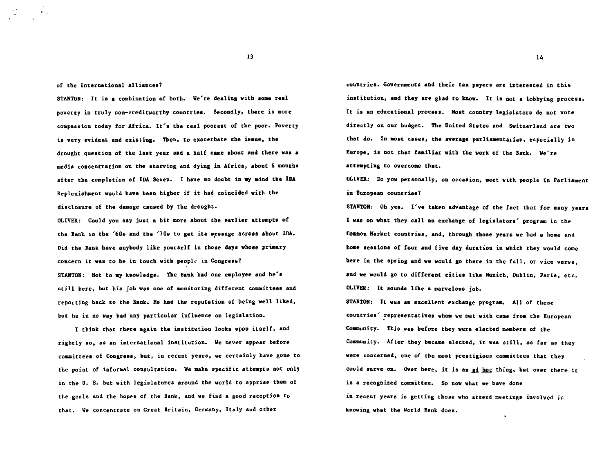of the international alliances?

STANTON: It is a combination of both. We're dealing with some real poverty in truly non-creditworthy countries. Secondly, there is more compassion today for Africa. It's the real poorest of the poor. Poverty is very evident and existing. Then. to exacerbate the issue. the drought question of the last year and a half came about and there vas a media concentration on the starving and dying in Africa, about 6 months after the completion of IDA Seven. I have no doubt in my mind the IDA Replenishment would have been hisher if it had coincided with the disclosure of the damage caused by the drought.

OLIVER: Could you say just a bit more about the earlier attempts of the Bank in the '60s and the '70s to get its message across about IDA. Did the Bank have anybody like yourself in those days whose primary concern it was to be in touch with people in Congress? STANTON: Not to my knowledge. The Bank had one employee and he's still here, but his job was one of monitoring different committees and reporting back to the Bank. He had the reputation of being well liked, but he in no way bad any particular influence on legislation.

I think that there again the institution looks upon itself, and rightly ao, aa an international institution. We never appear before committees of Congress, but, in recent years, we certainly have gone to the point of informal consultation. We make apecific attempts not only in the U. S. but with legislatures around the world to apprise them of the goals and the hopes of the Bank, and we find a good reception to that. We concentrate on Great Britain, Germany, Italy and other

countries. Governments and their tax payers are interested in this institution, and they are glad to know. It is not a lobbying process. It is an educational process. MOat country legislators do not vote directly on our budget. The United States and Switzerland are two that do. In most cases, the average parliamentarian, especially in Europe, is not that faailiar with the work of the Bank. We're attempting to overcome that.

oLIVER: Do you personally, on occasion, meet with people in Parliament in European countries?

STAHTOH: Oh yea. I've taken advantage of the fact that for many years I vas on what they call an exchange of legislators' program in the Common Market countries, and, through tboae years we bad a home and home sessions of four and five day duration in which they would come here in the apring and we would go there in the fall, or vice versa, and we would go to different cities like Munich, Dublin, Paris, etc. OLIVER: It sounds like a marvelous job.

STANTON: It was an excellent exchange program. All of these countries' representatives whom we met with came from the European Community. This was before they were elected members of the Community. After they became elected, it was still, as far as they were concerned. one of the moat prestigious committees that they could serve on. Over here, it is an ad hoc thing, but over there it is a recognized committee. So now what we have done in recent years is getting those who attend meetings involved in knowing what the World Bank does.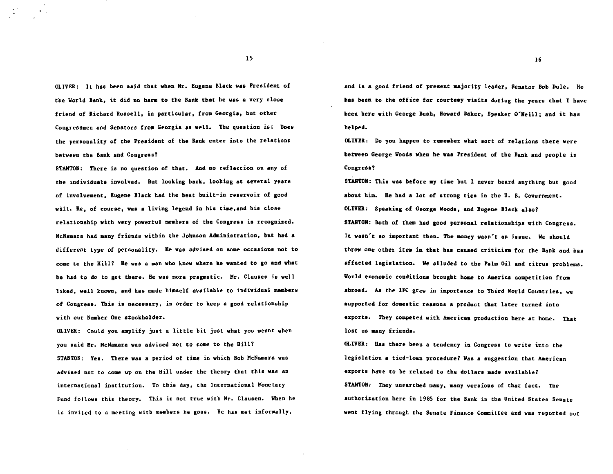OLIVER: It baa been said that when Hr. Eugene Black was President of the World Bank, it did no harm to the Bank that he was a very close friend of Richard Russell, in particular, from Georgia, but other Congressmen and Senators from Georgia aa well. Tbe question is: Does the personality of the Preaident of the Bank enter into the relations between the Bank and Congress?

STANTON: There ia no question of that. And no reflection on any of the individuals involved. But looking back, looking at several years of involvement, Eugene Black had the beat built-in reservoir of good will. He, of course, was a living legend in his time,and his close relationship with very powerful members of the Congreaa is recognized. McNamara bad many friends within the Johnson Administration, but had a different type of personality. He waa advised on some occasions not to come to the Hill? He was a man who knew where he wanted to go and what he had to do to get there. He was more pragmatic. Mr. Clausen is well liked, well known, and has made himself available to individual members of Congress. Tbia is necessary, in order to keep a good relationship with our Number One stockholder.

OLIVER: Could you amplify just a little bit just what you meant when you said Mr. McNamara vas advised not to come to the Hill? STANTON: Yes. There was a period of time in which Bob McNamara was advised not to come up on the Hill under the theory that this was an international institution. To this day. the International Monetary Fund fo1lowa this theory. This is not true with Hr. Clausen. When he is invited to a meeting with members he goes. He has met informally,

and is a good friend of present majority leader, Senator Bob Dole. He has been to the office for courtesy visits during the years that I have been here with George Bush, Howard Baker, Speaker O'Neill; and it has helped.

OLIVER: Do you happen to remember what sort of relations there were between George Woods when he was President of the Bank and people in Congress?

STANTON: This was before my time but I never heard anything but good about him. He had a lot of strons ties in the U. S. Government. OLIVER: Speaking of George Woods, and Eugene Black also? STANTON: Both of them had good personal relationships with Congress. It wasn't so important then. The aoney wasn't an issue. We should throw one other item in that has caused criticism for the Bank and has affected legislation. We alluded to the Palm Oil and citrus problema. World economic conditions brought home to America competition from abroad. As the IFC grew in importance to Third World Countries, we 8upported for domestic reasons a product that later turned into exports. They competed with American production here at home. That lost us many friends.

OLIVER: Baa there been a tendency in Congress to write into the legislation a tied-loan procedure? Was a suggestion that American exports have to be related to the dollars made available? STANTON: They unearthed many, many versions of that fact. The authorization here in 1985 for the Bank in the United States Senate went flying through the Senate Finance Committee and was reported out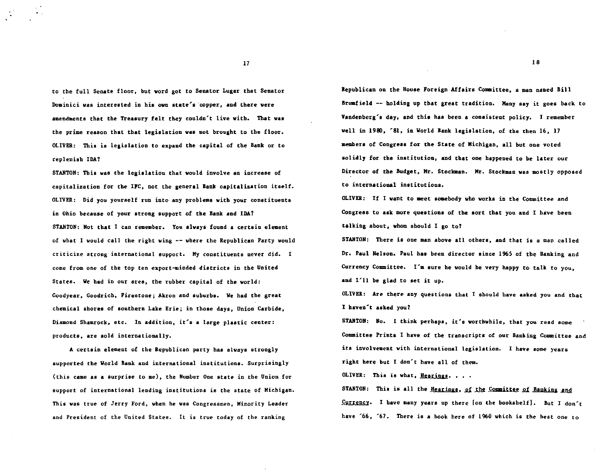to the full Senate floor, but word got to Senator Lugar that Senator Dominici was interested in his own state's ·copper, and there were amendments that the Treasury felt they couldn't live with. That vas the prime reason that that legislation was not brought to the floor. OLIVER: This is legislation to expand the capital of the Bank or to replenish IDA?

STANTON: This was the legislation that would involve an increase of capitalization for the IFC, not the general Bank capitalization itself. OLIVER: Did you yourself run into any problema with your constituents in Ohio because of your strong support of the Bank and IDA? STANTON: Not that I can remember. You always found a certain element of what I would call the right wing -- where the Republican Party would criticize strong international support. My constituents never did. I come from one of the top ten export-minded districts in the United States. We bad in our area, the rubber capital of the world: Goodyear, Goodrich, Firestone; Akron and suburbs. We had the great chemical shores of southern Lake Erie; in those days, Union Carbide, Diamond Shamrock, etc. In addition, it's a large plastic center: products. are sold internationally.

A certain element of the Republican party has always strongly supported the World Bank and international institutions. Surprisingly (this came as a surprise to me), the Number One state in the Union for support of international lending institutions is the state of Michigan. This was true of Jerry Ford. when he vas Congressmen, Minority Leader and President of the United States. It is true today of the ranking

Republican on the House Foreign Affairs Committee. a man named Bill Brumfield -- holding up that great tradition. Many say it goes back to Vandenberg's day, and this has been a consistent policy. I remember well in 1980, '81, in World Bank legislation, of the then 16, 17 members of Congress for the State of Michigan, all but one voted solidly for the institution, and that one happened to be later our Director of the Budget, Mr. Stockman. Mr. Stockman was mostly opposed to international institutions.

OLIVER: If I want to meet soaebody who works in the Committee and Congress to ask more questions of the sort that you and I have been talking about, whom should I go to?

STANTON: There is one man above all others, and that is a man called Dr. Paul Nelson. Paul bas been director since 1965 of the Banking and Currency Committee. I'm sure he would be very happy to talk to you, and I'll be glad to set it up.

OLIVER: Are there any questions that I should have asked you and that I haven't asked you?

STANTON: No. I think perhaps, it's worthwhile, that you read some Committee Prints 1 have of the transcripts of our Banking Committee and ita involvement with international legislation. I have some years right here but I don't have all of them.

OLIVER: This is what,  $Hearing$ . . . .</u>

STANTON: This is all the Hearings, of the Committee of Banking and Currency. I have many years up there [on the bookshelf]. But I don't have '66, '67. There is a book here of 1960 which is the best one to

18